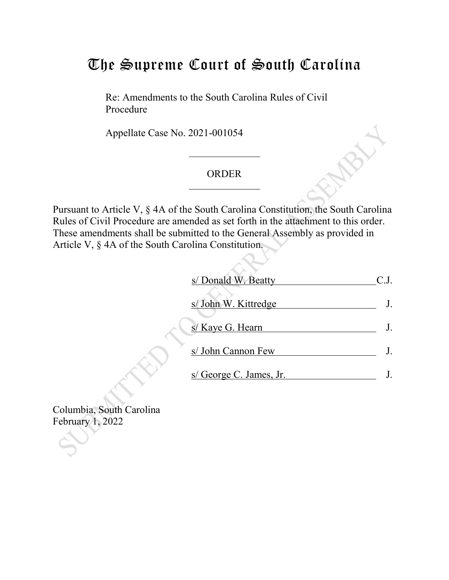# The Supreme Court of South Carolina

Re: Amendments to the South Carolina Rules of Civil Procedure

Appellate Case No. 2021-001054

### ORDER

Pursuant to Article V, § 4A of the South Carolina Constitution, the South Carolina Rules of Civil Procedure are amended as set forth in the attachment to this order. These amendments shall be submitted to the General Assembly as provided in Article V, § 4A of the South Carolina Constitution.

| s/ Donald W. Beatty     |  |
|-------------------------|--|
| s/ John W. Kittredge    |  |
| s/ Kaye G. Hearn        |  |
| s/ John Cannon Few      |  |
| s/ George C. James, Jr. |  |

Columbia, South Carolina February 1, 2022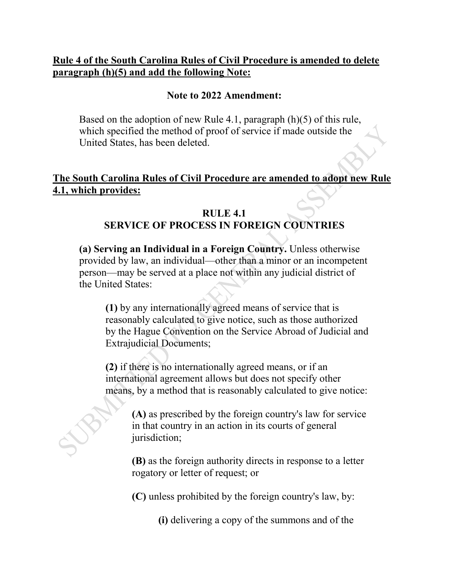### **Rule 4 of the South Carolina Rules of Civil Procedure is amended to delete paragraph (h)(5) and add the following Note:**

#### **Note to 2022 Amendment:**

Based on the adoption of new Rule 4.1, paragraph (h)(5) of this rule, which specified the method of proof of service if made outside the United States, has been deleted.

## **The South Carolina Rules of Civil Procedure are amended to adopt new Rule 4.1, which provides:**

#### **RULE 4.1 SERVICE OF PROCESS IN FOREIGN COUNTRIES**

**(a) Serving an Individual in a Foreign Country.** Unless otherwise provided by law, an individual—other than a minor or an incompetent person—may be served at a place not within any judicial district of the United States:

**(1)** by any internationally agreed means of service that is reasonably calculated to give notice, such as those authorized by the Hague Convention on the Service Abroad of Judicial and Extrajudicial Documents;

**(2)** if there is no internationally agreed means, or if an international agreement allows but does not specify other means, by a method that is reasonably calculated to give notice:

**(A)** as prescribed by the foreign country's law for service in that country in an action in its courts of general jurisdiction;

**(B)** as the foreign authority directs in response to a letter rogatory or letter of request; or

**(C)** unless prohibited by the foreign country's law, by:

**(i)** delivering a copy of the summons and of the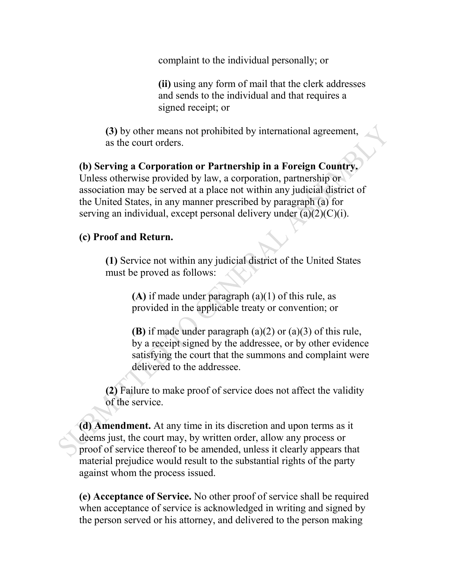complaint to the individual personally; or

**(ii)** using any form of mail that the clerk addresses and sends to the individual and that requires a signed receipt; or

**(3)** by other means not prohibited by international agreement, as the court orders.

**(b) Serving a Corporation or Partnership in a Foreign Country.** Unless otherwise provided by law, a corporation, partnership or association may be served at a place not within any judicial district of the United States, in any manner prescribed by paragraph (a) for serving an individual, except personal delivery under  $(a)(2)(C)(i)$ .

## **(c) Proof and Return.**

**(1)** Service not within any judicial district of the United States must be proved as follows:

> **(A)** if made under paragraph (a)(1) of this rule, as provided in the applicable treaty or convention; or

**(B)** if made under paragraph (a)(2) or (a)(3) of this rule, by a receipt signed by the addressee, or by other evidence satisfying the court that the summons and complaint were delivered to the addressee.

**(2)** Failure to make proof of service does not affect the validity of the service.

**(d) Amendment.** At any time in its discretion and upon terms as it deems just, the court may, by written order, allow any process or proof of service thereof to be amended, unless it clearly appears that material prejudice would result to the substantial rights of the party against whom the process issued.

**(e) Acceptance of Service.** No other proof of service shall be required when acceptance of service is acknowledged in writing and signed by the person served or his attorney, and delivered to the person making